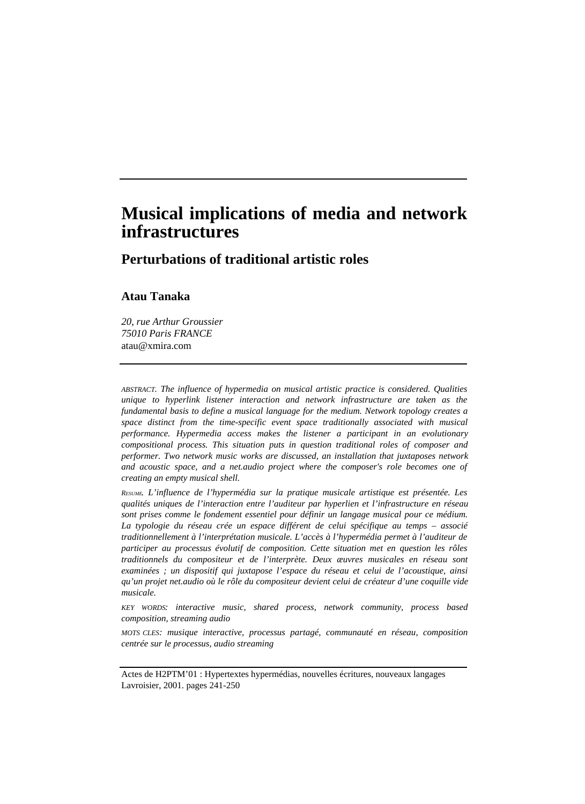# **Musical implications of media and network infrastructures**

**Perturbations of traditional artistic roles**

## **Atau Tanaka**

*20, rue Arthur Groussier 75010 Paris FRANCE* atau@xmira.com

*ABSTRACT. The influence of hypermedia on musical artistic practice is considered. Qualities unique to hyperlink listener interaction and network infrastructure are taken as the fundamental basis to define a musical language for the medium. Network topology creates a space distinct from the time-specific event space traditionally associated with musical performance. Hypermedia access makes the listener a participant in an evolutionary compositional process. This situation puts in question traditional roles of composer and performer. Two network music works are discussed, an installation that juxtaposes network and acoustic space, and a net.audio project where the composer's role becomes one of creating an empty musical shell.*

*RESUME. L'influence de l'hypermédia sur la pratique musicale artistique est présentée. Les qualités uniques de l'interaction entre l'auditeur par hyperlien et l'infrastructure en réseau sont prises comme le fondement essentiel pour définir un langage musical pour ce médium. La typologie du réseau crée un espace différent de celui spécifique au temps – associé traditionnellement à l'interprétation musicale. L'accès à l'hypermédia permet à l'auditeur de participer au processus évolutif de composition. Cette situation met en question les rôles traditionnels du compositeur et de l'interprète. Deux æuvres musicales en réseau sont examinées ; un dispositif qui juxtapose l'espace du réseau et celui de l'acoustique, ainsi qu'un projet net.audio où le rôle du compositeur devient celui de créateur d'une coquille vide musicale.*

*KEY WORDS: interactive music, shared process, network community, process based composition, streaming audio*

*MOTS CLES: musique interactive, processus partagé, communauté en réseau, composition centrée sur le processus, audio streaming*

Actes de H2PTM'01 : Hypertextes hypermédias, nouvelles écritures, nouveaux langages Lavroisier, 2001. pages 241-250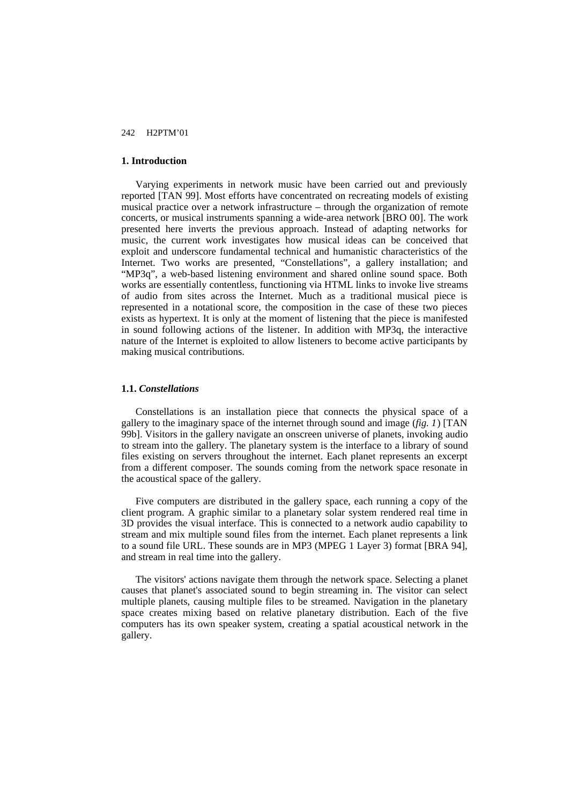## **1. Introduction**

Varying experiments in network music have been carried out and previously reported [TAN 99]. Most efforts have concentrated on recreating models of existing musical practice over a network infrastructure – through the organization of remote concerts, or musical instruments spanning a wide-area network [BRO 00]. The work presented here inverts the previous approach. Instead of adapting networks for music, the current work investigates how musical ideas can be conceived that exploit and underscore fundamental technical and humanistic characteristics of the Internet. Two works are presented, "Constellations", a gallery installation; and "MP3q", a web-based listening environment and shared online sound space. Both works are essentially contentless, functioning via HTML links to invoke live streams of audio from sites across the Internet. Much as a traditional musical piece is represented in a notational score, the composition in the case of these two pieces exists as hypertext. It is only at the moment of listening that the piece is manifested in sound following actions of the listener. In addition with MP3q, the interactive nature of the Internet is exploited to allow listeners to become active participants by making musical contributions.

#### **1.1.** *Constellations*

Constellations is an installation piece that connects the physical space of a gallery to the imaginary space of the internet through sound and image (*fig. 1*) [TAN 99b]. Visitors in the gallery navigate an onscreen universe of planets, invoking audio to stream into the gallery. The planetary system is the interface to a library of sound files existing on servers throughout the internet. Each planet represents an excerpt from a different composer. The sounds coming from the network space resonate in the acoustical space of the gallery.

Five computers are distributed in the gallery space, each running a copy of the client program. A graphic similar to a planetary solar system rendered real time in 3D provides the visual interface. This is connected to a network audio capability to stream and mix multiple sound files from the internet. Each planet represents a link to a sound file URL. These sounds are in MP3 (MPEG 1 Layer 3) format [BRA 94], and stream in real time into the gallery.

The visitors' actions navigate them through the network space. Selecting a planet causes that planet's associated sound to begin streaming in. The visitor can select multiple planets, causing multiple files to be streamed. Navigation in the planetary space creates mixing based on relative planetary distribution. Each of the five computers has its own speaker system, creating a spatial acoustical network in the gallery.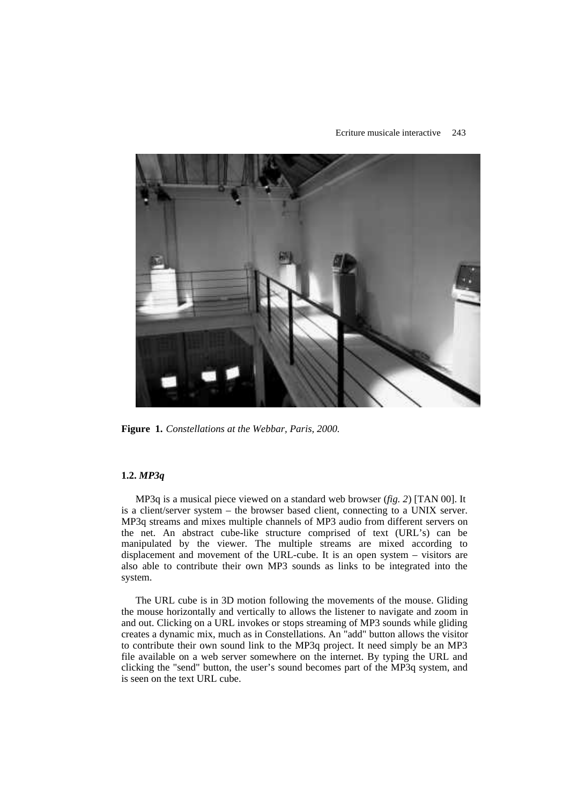#### Ecriture musicale interactive 243



**Figure 1.** *Constellations at the Webbar, Paris, 2000.*

## **1.2.** *MP3q*

MP3q is a musical piece viewed on a standard web browser (*fig. 2*) [TAN 00]. It is a client/server system – the browser based client, connecting to a UNIX server. MP3q streams and mixes multiple channels of MP3 audio from different servers on the net. An abstract cube-like structure comprised of text (URL's) can be manipulated by the viewer. The multiple streams are mixed according to displacement and movement of the URL-cube. It is an open system – visitors are also able to contribute their own MP3 sounds as links to be integrated into the system.

The URL cube is in 3D motion following the movements of the mouse. Gliding the mouse horizontally and vertically to allows the listener to navigate and zoom in and out. Clicking on a URL invokes or stops streaming of MP3 sounds while gliding creates a dynamic mix, much as in Constellations. An "add" button allows the visitor to contribute their own sound link to the MP3q project. It need simply be an MP3 file available on a web server somewhere on the internet. By typing the URL and clicking the "send" button, the user's sound becomes part of the MP3q system, and is seen on the text URL cube.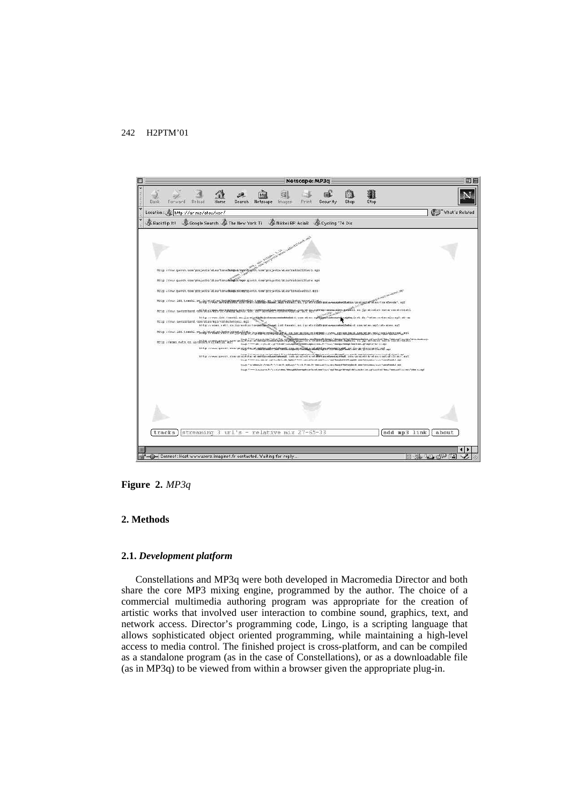

**Figure 2.** *MP3q*

## **2. Methods**

#### **2.1.** *Development platform*

Constellations and MP3q were both developed in Macromedia Director and both share the core MP3 mixing engine, programmed by the author. The choice of a commercial multimedia authoring program was appropriate for the creation of artistic works that involved user interaction to combine sound, graphics, text, and network access. Director's programming code, Lingo, is a scripting language that allows sophisticated object oriented programming, while maintaining a high-level access to media control. The finished project is cross-platform, and can be compiled as a standalone program (as in the case of Constellations), or as a downloadable file (as in MP3q) to be viewed from within a browser given the appropriate plug-in.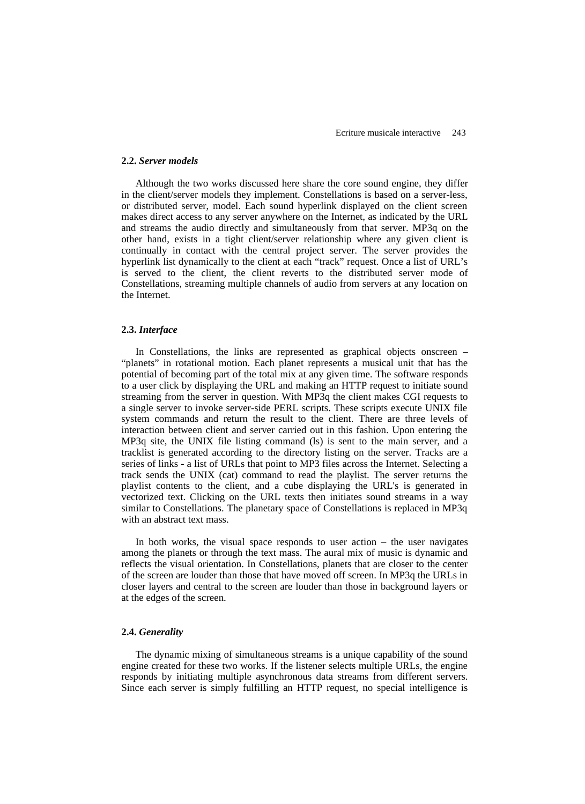#### **2.2.** *Server models*

Although the two works discussed here share the core sound engine, they differ in the client/server models they implement. Constellations is based on a server-less, or distributed server, model. Each sound hyperlink displayed on the client screen makes direct access to any server anywhere on the Internet, as indicated by the URL and streams the audio directly and simultaneously from that server. MP3q on the other hand, exists in a tight client/server relationship where any given client is continually in contact with the central project server. The server provides the hyperlink list dynamically to the client at each "track" request. Once a list of URL's is served to the client, the client reverts to the distributed server mode of Constellations, streaming multiple channels of audio from servers at any location on the Internet.

#### **2.3.** *Interface*

In Constellations, the links are represented as graphical objects onscreen – "planets" in rotational motion. Each planet represents a musical unit that has the potential of becoming part of the total mix at any given time. The software responds to a user click by displaying the URL and making an HTTP request to initiate sound streaming from the server in question. With MP3q the client makes CGI requests to a single server to invoke server-side PERL scripts. These scripts execute UNIX file system commands and return the result to the client. There are three levels of interaction between client and server carried out in this fashion. Upon entering the MP3q site, the UNIX file listing command (ls) is sent to the main server, and a tracklist is generated according to the directory listing on the server. Tracks are a series of links - a list of URLs that point to MP3 files across the Internet. Selecting a track sends the UNIX (cat) command to read the playlist. The server returns the playlist contents to the client, and a cube displaying the URL's is generated in vectorized text. Clicking on the URL texts then initiates sound streams in a way similar to Constellations. The planetary space of Constellations is replaced in MP3q with an abstract text mass.

In both works, the visual space responds to user action  $-$  the user navigates among the planets or through the text mass. The aural mix of music is dynamic and reflects the visual orientation. In Constellations, planets that are closer to the center of the screen are louder than those that have moved off screen. In MP3q the URLs in closer layers and central to the screen are louder than those in background layers or at the edges of the screen.

## **2.4.** *Generality*

The dynamic mixing of simultaneous streams is a unique capability of the sound engine created for these two works. If the listener selects multiple URLs, the engine responds by initiating multiple asynchronous data streams from different servers. Since each server is simply fulfilling an HTTP request, no special intelligence is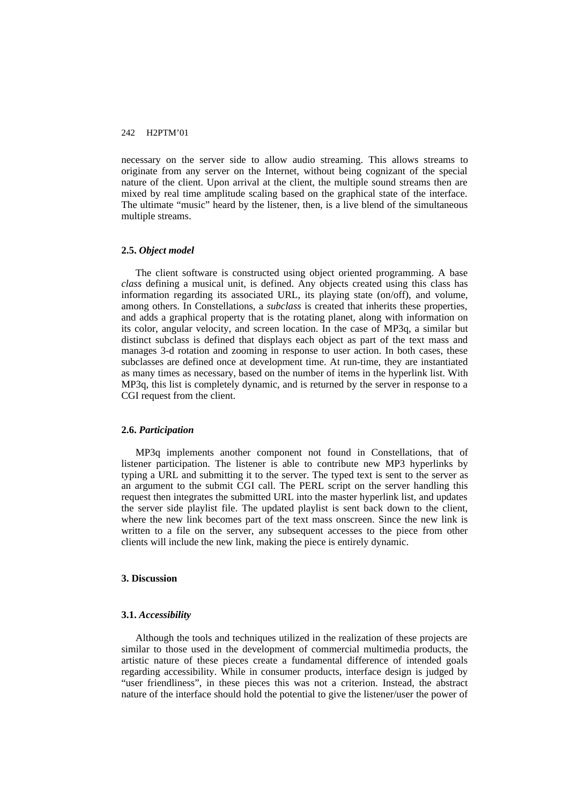necessary on the server side to allow audio streaming. This allows streams to originate from any server on the Internet, without being cognizant of the special nature of the client. Upon arrival at the client, the multiple sound streams then are mixed by real time amplitude scaling based on the graphical state of the interface. The ultimate "music" heard by the listener, then, is a live blend of the simultaneous multiple streams.

#### **2.5.** *Object model*

The client software is constructed using object oriented programming. A base *class* defining a musical unit, is defined. Any objects created using this class has information regarding its associated URL, its playing state (on/off), and volume, among others. In Constellations, a *subclass* is created that inherits these properties, and adds a graphical property that is the rotating planet, along with information on its color, angular velocity, and screen location. In the case of MP3q, a similar but distinct subclass is defined that displays each object as part of the text mass and manages 3-d rotation and zooming in response to user action. In both cases, these subclasses are defined once at development time. At run-time, they are instantiated as many times as necessary, based on the number of items in the hyperlink list. With MP3q, this list is completely dynamic, and is returned by the server in response to a CGI request from the client.

## **2.6.** *Participation*

MP3q implements another component not found in Constellations, that of listener participation. The listener is able to contribute new MP3 hyperlinks by typing a URL and submitting it to the server. The typed text is sent to the server as an argument to the submit CGI call. The PERL script on the server handling this request then integrates the submitted URL into the master hyperlink list, and updates the server side playlist file. The updated playlist is sent back down to the client, where the new link becomes part of the text mass onscreen. Since the new link is written to a file on the server, any subsequent accesses to the piece from other clients will include the new link, making the piece is entirely dynamic.

#### **3. Discussion**

## **3.1.** *Accessibility*

Although the tools and techniques utilized in the realization of these projects are similar to those used in the development of commercial multimedia products, the artistic nature of these pieces create a fundamental difference of intended goals regarding accessibility. While in consumer products, interface design is judged by "user friendliness", in these pieces this was not a criterion. Instead, the abstract nature of the interface should hold the potential to give the listener/user the power of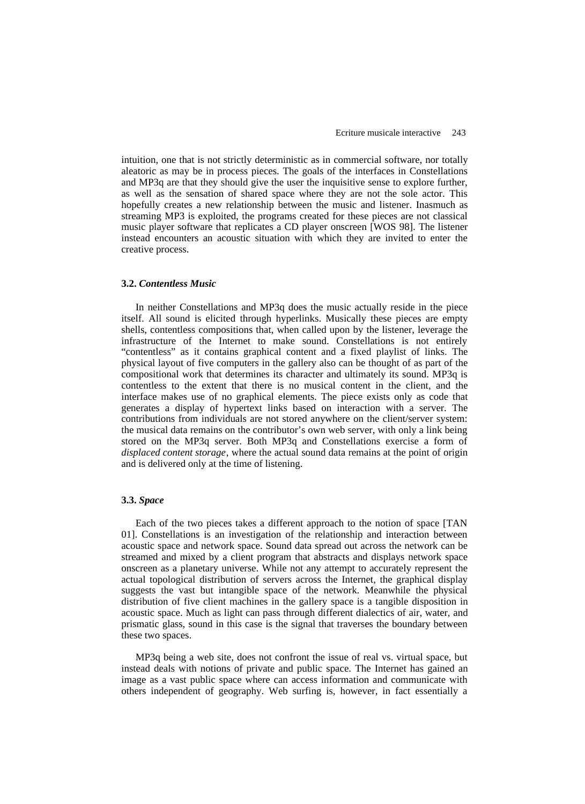intuition, one that is not strictly deterministic as in commercial software, nor totally aleatoric as may be in process pieces. The goals of the interfaces in Constellations and MP3q are that they should give the user the inquisitive sense to explore further, as well as the sensation of shared space where they are not the sole actor. This hopefully creates a new relationship between the music and listener. Inasmuch as streaming MP3 is exploited, the programs created for these pieces are not classical music player software that replicates a CD player onscreen [WOS 98]. The listener instead encounters an acoustic situation with which they are invited to enter the creative process.

### **3.2.** *Contentless Music*

In neither Constellations and MP3q does the music actually reside in the piece itself. All sound is elicited through hyperlinks. Musically these pieces are empty shells, contentless compositions that, when called upon by the listener, leverage the infrastructure of the Internet to make sound. Constellations is not entirely "contentless" as it contains graphical content and a fixed playlist of links. The physical layout of five computers in the gallery also can be thought of as part of the compositional work that determines its character and ultimately its sound. MP3q is contentless to the extent that there is no musical content in the client, and the interface makes use of no graphical elements. The piece exists only as code that generates a display of hypertext links based on interaction with a server. The contributions from individuals are not stored anywhere on the client/server system: the musical data remains on the contributor's own web server, with only a link being stored on the MP3q server. Both MP3q and Constellations exercise a form of *displaced content storage*, where the actual sound data remains at the point of origin and is delivered only at the time of listening.

#### **3.3.** *Space*

Each of the two pieces takes a different approach to the notion of space [TAN 01]. Constellations is an investigation of the relationship and interaction between acoustic space and network space. Sound data spread out across the network can be streamed and mixed by a client program that abstracts and displays network space onscreen as a planetary universe. While not any attempt to accurately represent the actual topological distribution of servers across the Internet, the graphical display suggests the vast but intangible space of the network. Meanwhile the physical distribution of five client machines in the gallery space is a tangible disposition in acoustic space. Much as light can pass through different dialectics of air, water, and prismatic glass, sound in this case is the signal that traverses the boundary between these two spaces.

MP3q being a web site, does not confront the issue of real vs. virtual space, but instead deals with notions of private and public space. The Internet has gained an image as a vast public space where can access information and communicate with others independent of geography. Web surfing is, however, in fact essentially a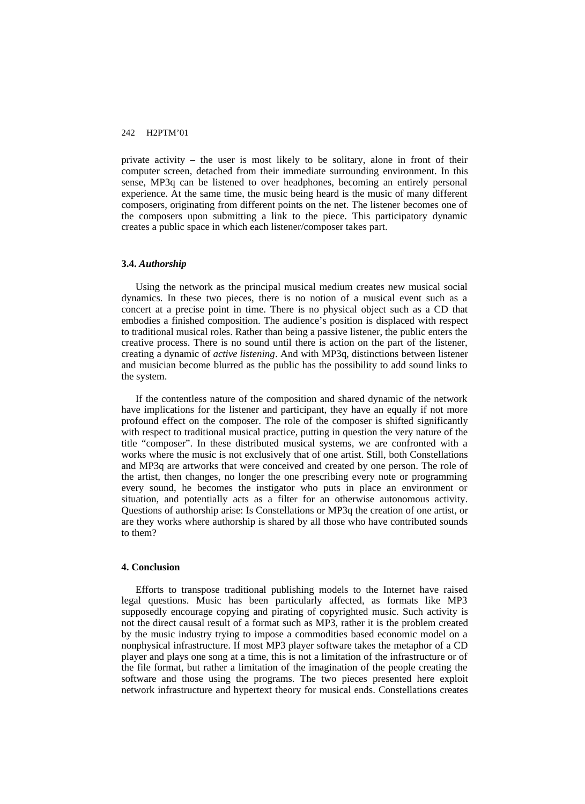private activity – the user is most likely to be solitary, alone in front of their computer screen, detached from their immediate surrounding environment. In this sense, MP3q can be listened to over headphones, becoming an entirely personal experience. At the same time, the music being heard is the music of many different composers, originating from different points on the net. The listener becomes one of the composers upon submitting a link to the piece. This participatory dynamic creates a public space in which each listener/composer takes part.

#### **3.4.** *Authorship*

Using the network as the principal musical medium creates new musical social dynamics. In these two pieces, there is no notion of a musical event such as a concert at a precise point in time. There is no physical object such as a CD that embodies a finished composition. The audience's position is displaced with respect to traditional musical roles. Rather than being a passive listener, the public enters the creative process. There is no sound until there is action on the part of the listener, creating a dynamic of *active listening*. And with MP3q, distinctions between listener and musician become blurred as the public has the possibility to add sound links to the system.

If the contentless nature of the composition and shared dynamic of the network have implications for the listener and participant, they have an equally if not more profound effect on the composer. The role of the composer is shifted significantly with respect to traditional musical practice, putting in question the very nature of the title "composer". In these distributed musical systems, we are confronted with a works where the music is not exclusively that of one artist. Still, both Constellations and MP3q are artworks that were conceived and created by one person. The role of the artist, then changes, no longer the one prescribing every note or programming every sound, he becomes the instigator who puts in place an environment or situation, and potentially acts as a filter for an otherwise autonomous activity. Questions of authorship arise: Is Constellations or MP3q the creation of one artist, or are they works where authorship is shared by all those who have contributed sounds to them?

## **4. Conclusion**

Efforts to transpose traditional publishing models to the Internet have raised legal questions. Music has been particularly affected, as formats like MP3 supposedly encourage copying and pirating of copyrighted music. Such activity is not the direct causal result of a format such as MP3, rather it is the problem created by the music industry trying to impose a commodities based economic model on a nonphysical infrastructure. If most MP3 player software takes the metaphor of a CD player and plays one song at a time, this is not a limitation of the infrastructure or of the file format, but rather a limitation of the imagination of the people creating the software and those using the programs. The two pieces presented here exploit network infrastructure and hypertext theory for musical ends. Constellations creates